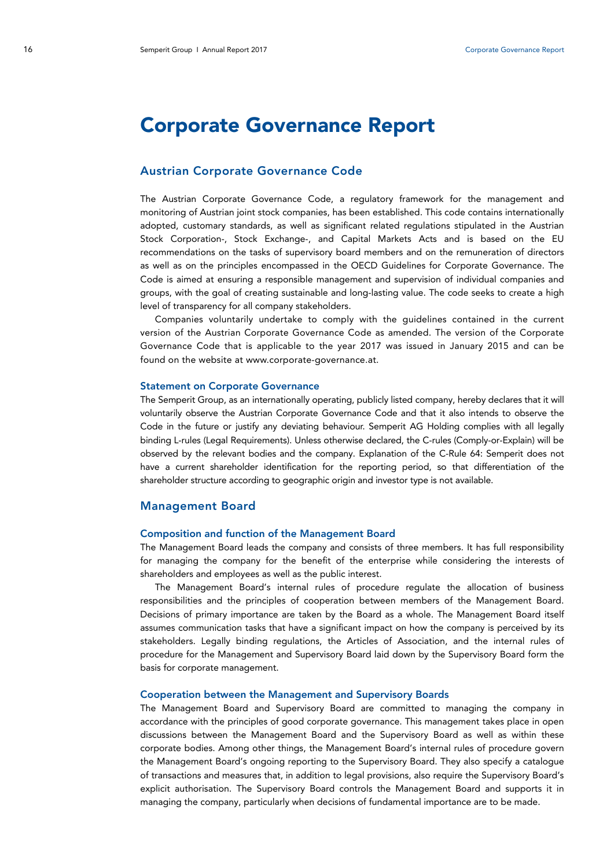# Corporate Governance Report

### Austrian Corporate Governance Code

The Austrian Corporate Governance Code, a regulatory framework for the management and monitoring of Austrian joint stock companies, has been established. This code contains internationally adopted, customary standards, as well as significant related regulations stipulated in the Austrian Stock Corporation-, Stock Exchange-, and Capital Markets Acts and is based on the EU recommendations on the tasks of supervisory board members and on the remuneration of directors as well as on the principles encompassed in the OECD Guidelines for Corporate Governance. The Code is aimed at ensuring a responsible management and supervision of individual companies and groups, with the goal of creating sustainable and long-lasting value. The code seeks to create a high level of transparency for all company stakeholders.

Companies voluntarily undertake to comply with the guidelines contained in the current version of the Austrian Corporate Governance Code as amended. The version of the Corporate Governance Code that is applicable to the year 2017 was issued in January 2015 and can be found on the website at www.corporate-governance.at.

#### Statement on Corporate Governance

The Semperit Group, as an internationally operating, publicly listed company, hereby declares that it will voluntarily observe the Austrian Corporate Governance Code and that it also intends to observe the Code in the future or justify any deviating behaviour. Semperit AG Holding complies with all legally binding L-rules (Legal Requirements). Unless otherwise declared, the C-rules (Comply-or-Explain) will be observed by the relevant bodies and the company. Explanation of the C-Rule 64: Semperit does not have a current shareholder identification for the reporting period, so that differentiation of the shareholder structure according to geographic origin and investor type is not available.

### Management Board

#### Composition and function of the Management Board

The Management Board leads the company and consists of three members. It has full responsibility for managing the company for the benefit of the enterprise while considering the interests of shareholders and employees as well as the public interest.

The Management Board's internal rules of procedure regulate the allocation of business responsibilities and the principles of cooperation between members of the Management Board. Decisions of primary importance are taken by the Board as a whole. The Management Board itself assumes communication tasks that have a significant impact on how the company is perceived by its stakeholders. Legally binding regulations, the Articles of Association, and the internal rules of procedure for the Management and Supervisory Board laid down by the Supervisory Board form the basis for corporate management.

#### Cooperation between the Management and Supervisory Boards

The Management Board and Supervisory Board are committed to managing the company in accordance with the principles of good corporate governance. This management takes place in open discussions between the Management Board and the Supervisory Board as well as within these corporate bodies. Among other things, the Management Board's internal rules of procedure govern the Management Board's ongoing reporting to the Supervisory Board. They also specify a catalogue of transactions and measures that, in addition to legal provisions, also require the Supervisory Board's explicit authorisation. The Supervisory Board controls the Management Board and supports it in managing the company, particularly when decisions of fundamental importance are to be made.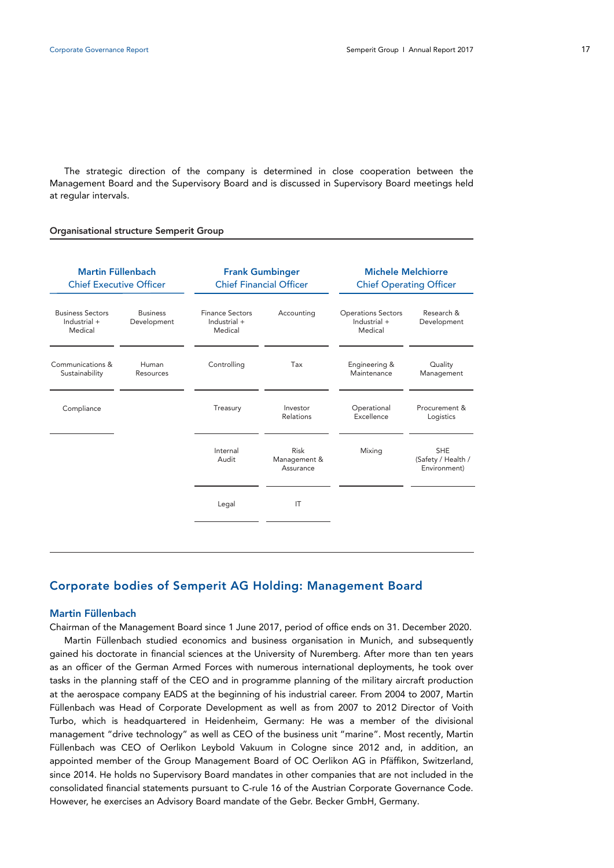The strategic direction of the company is determined in close cooperation between the Management Board and the Supervisory Board and is discussed in Supervisory Board meetings held at regular intervals.

#### Organisational structure Semperit Group

| <b>Martin Füllenbach</b><br><b>Chief Executive Officer</b> |                                |                                                   | <b>Frank Gumbinger</b><br><b>Chief Financial Officer</b> | <b>Michele Melchiorre</b><br><b>Chief Operating Officer</b> |                                                  |  |
|------------------------------------------------------------|--------------------------------|---------------------------------------------------|----------------------------------------------------------|-------------------------------------------------------------|--------------------------------------------------|--|
| <b>Business Sectors</b><br>Industrial +<br>Medical         | <b>Business</b><br>Development | <b>Finance Sectors</b><br>Industrial +<br>Medical | Accounting                                               | <b>Operations Sectors</b><br>Industrial +<br>Medical        | Research &<br>Development                        |  |
| Communications &<br>Sustainability                         | Human<br>Resources             | Controlling                                       | Tax                                                      | Engineering &<br>Maintenance                                | Quality<br>Management                            |  |
| Compliance                                                 |                                | Treasury                                          | Investor<br>Relations                                    | Operational<br>Excellence                                   | Procurement &<br>Logistics                       |  |
|                                                            |                                | Internal<br>Audit                                 | <b>Risk</b><br>Management &<br>Assurance                 | Mixing                                                      | <b>SHE</b><br>(Safety / Health /<br>Environment) |  |
|                                                            |                                | Legal                                             | IT                                                       |                                                             |                                                  |  |
|                                                            |                                |                                                   |                                                          |                                                             |                                                  |  |

### Corporate bodies of Semperit AG Holding: Management Board

### Martin Füllenbach

Chairman of the Management Board since 1 June 2017, period of office ends on 31. December 2020. Martin Füllenbach studied economics and business organisation in Munich, and subsequently gained his doctorate in financial sciences at the University of Nuremberg. After more than ten years as an officer of the German Armed Forces with numerous international deployments, he took over tasks in the planning staff of the CEO and in programme planning of the military aircraft production at the aerospace company EADS at the beginning of his industrial career. From 2004 to 2007, Martin Füllenbach was Head of Corporate Development as well as from 2007 to 2012 Director of Voith Turbo, which is headquartered in Heidenheim, Germany: He was a member of the divisional management "drive technology" as well as CEO of the business unit "marine". Most recently, Martin Füllenbach was CEO of Oerlikon Leybold Vakuum in Cologne since 2012 and, in addition, an appointed member of the Group Management Board of OC Oerlikon AG in Pfäffikon, Switzerland, since 2014. He holds no Supervisory Board mandates in other companies that are not included in the consolidated financial statements pursuant to C-rule 16 of the Austrian Corporate Governance Code. However, he exercises an Advisory Board mandate of the Gebr. Becker GmbH, Germany.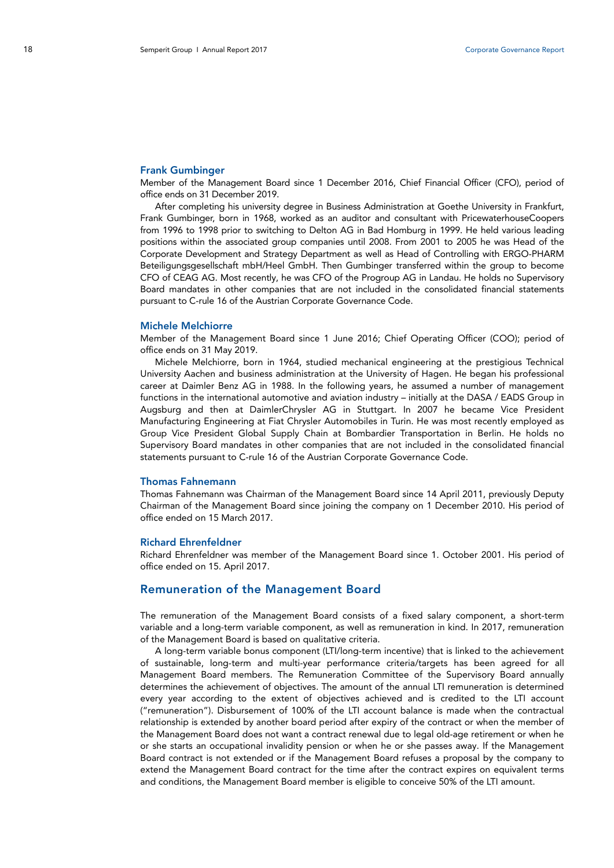#### Frank Gumbinger

Member of the Management Board since 1 December 2016, Chief Financial Officer (CFO), period of office ends on 31 December 2019.

After completing his university degree in Business Administration at Goethe University in Frankfurt, Frank Gumbinger, born in 1968, worked as an auditor and consultant with PricewaterhouseCoopers from 1996 to 1998 prior to switching to Delton AG in Bad Homburg in 1999. He held various leading positions within the associated group companies until 2008. From 2001 to 2005 he was Head of the Corporate Development and Strategy Department as well as Head of Controlling with ERGO-PHARM Beteiligungsgesellschaft mbH/Heel GmbH. Then Gumbinger transferred within the group to become CFO of CEAG AG. Most recently, he was CFO of the Progroup AG in Landau. He holds no Supervisory Board mandates in other companies that are not included in the consolidated financial statements pursuant to C-rule 16 of the Austrian Corporate Governance Code.

#### Michele Melchiorre

Member of the Management Board since 1 June 2016; Chief Operating Officer (COO); period of office ends on 31 May 2019.

Michele Melchiorre, born in 1964, studied mechanical engineering at the prestigious Technical University Aachen and business administration at the University of Hagen. He began his professional career at Daimler Benz AG in 1988. In the following years, he assumed a number of management functions in the international automotive and aviation industry – initially at the DASA / EADS Group in Augsburg and then at DaimlerChrysler AG in Stuttgart. In 2007 he became Vice President Manufacturing Engineering at Fiat Chrysler Automobiles in Turin. He was most recently employed as Group Vice President Global Supply Chain at Bombardier Transportation in Berlin. He holds no Supervisory Board mandates in other companies that are not included in the consolidated financial statements pursuant to C-rule 16 of the Austrian Corporate Governance Code.

#### Thomas Fahnemann

Thomas Fahnemann was Chairman of the Management Board since 14 April 2011, previously Deputy Chairman of the Management Board since joining the company on 1 December 2010. His period of office ended on 15 March 2017.

#### Richard Ehrenfeldner

Richard Ehrenfeldner was member of the Management Board since 1. October 2001. His period of office ended on 15. April 2017.

#### Remuneration of the Management Board

The remuneration of the Management Board consists of a fixed salary component, a short-term variable and a long-term variable component, as well as remuneration in kind. In 2017, remuneration of the Management Board is based on qualitative criteria.

A long-term variable bonus component (LTI/long-term incentive) that is linked to the achievement of sustainable, long-term and multi-year performance criteria/targets has been agreed for all Management Board members. The Remuneration Committee of the Supervisory Board annually determines the achievement of objectives. The amount of the annual LTI remuneration is determined every year according to the extent of objectives achieved and is credited to the LTI account ("remuneration"). Disbursement of 100% of the LTI account balance is made when the contractual relationship is extended by another board period after expiry of the contract or when the member of the Management Board does not want a contract renewal due to legal old-age retirement or when he or she starts an occupational invalidity pension or when he or she passes away. If the Management Board contract is not extended or if the Management Board refuses a proposal by the company to extend the Management Board contract for the time after the contract expires on equivalent terms and conditions, the Management Board member is eligible to conceive 50% of the LTI amount.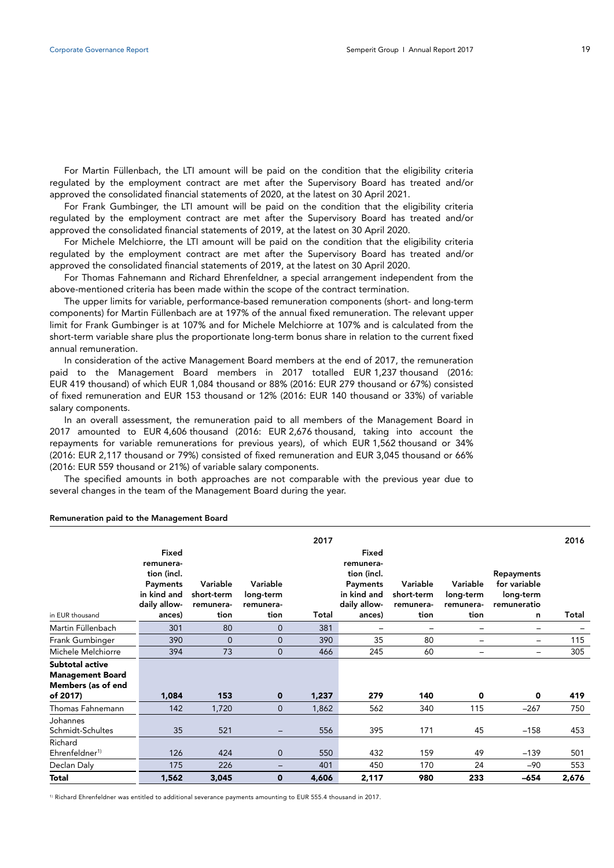For Martin Füllenbach, the LTI amount will be paid on the condition that the eligibility criteria regulated by the employment contract are met after the Supervisory Board has treated and/or approved the consolidated financial statements of 2020, at the latest on 30 April 2021.

For Frank Gumbinger, the LTI amount will be paid on the condition that the eligibility criteria regulated by the employment contract are met after the Supervisory Board has treated and/or approved the consolidated financial statements of 2019, at the latest on 30 April 2020.

For Michele Melchiorre, the LTI amount will be paid on the condition that the eligibility criteria regulated by the employment contract are met after the Supervisory Board has treated and/or approved the consolidated financial statements of 2019, at the latest on 30 April 2020.

For Thomas Fahnemann and Richard Ehrenfeldner, a special arrangement independent from the above-mentioned criteria has been made within the scope of the contract termination.

The upper limits for variable, performance-based remuneration components (short- and long-term components) for Martin Füllenbach are at 197% of the annual fixed remuneration. The relevant upper limit for Frank Gumbinger is at 107% and for Michele Melchiorre at 107% and is calculated from the short-term variable share plus the proportionate long-term bonus share in relation to the current fixed annual remuneration.

In consideration of the active Management Board members at the end of 2017, the remuneration paid to the Management Board members in 2017 totalled EUR 1,237 thousand (2016: EUR 419 thousand) of which EUR 1,084 thousand or 88% (2016: EUR 279 thousand or 67%) consisted of fixed remuneration and EUR 153 thousand or 12% (2016: EUR 140 thousand or 33%) of variable salary components.

In an overall assessment, the remuneration paid to all members of the Management Board in 2017 amounted to EUR 4,606 thousand (2016: EUR 2,676 thousand, taking into account the repayments for variable remunerations for previous years), of which EUR 1,562 thousand or 34% (2016: EUR 2,117 thousand or 79%) consisted of fixed remuneration and EUR 3,045 thousand or 66% (2016: EUR 559 thousand or 21%) of variable salary components.

The specified amounts in both approaches are not comparable with the previous year due to several changes in the team of the Management Board during the year.

|                                                                                     |                                                                                        |                                             |                                            | 2017  |                                                                                               |                                             |                                            |                                                                    | 2016  |
|-------------------------------------------------------------------------------------|----------------------------------------------------------------------------------------|---------------------------------------------|--------------------------------------------|-------|-----------------------------------------------------------------------------------------------|---------------------------------------------|--------------------------------------------|--------------------------------------------------------------------|-------|
| in EUR thousand                                                                     | Fixed<br>remunera-<br>tion (incl.<br>Payments<br>in kind and<br>daily allow-<br>ances) | Variable<br>short-term<br>remunera-<br>tion | Variable<br>long-term<br>remunera-<br>tion | Total | Fixed<br>remunera-<br>tion (incl.<br><b>Payments</b><br>in kind and<br>daily allow-<br>ances) | Variable<br>short-term<br>remunera-<br>tion | Variable<br>long-term<br>remunera-<br>tion | <b>Repayments</b><br>for variable<br>long-term<br>remuneratio<br>n | Total |
| Martin Füllenbach                                                                   | 301                                                                                    | 80                                          | $\overline{0}$                             | 381   |                                                                                               | $\overline{\phantom{0}}$                    |                                            | -                                                                  |       |
| Frank Gumbinger                                                                     | 390                                                                                    | $\Omega$                                    | $\overline{0}$                             | 390   | 35                                                                                            | 80                                          | $\equiv$                                   | $\overline{\phantom{0}}$                                           | 115   |
| Michele Melchiorre                                                                  | 394                                                                                    | 73                                          | $\overline{0}$                             | 466   | 245                                                                                           | 60                                          | -                                          | -                                                                  | 305   |
| <b>Subtotal active</b><br><b>Management Board</b><br>Members (as of end<br>of 2017) | 1,084                                                                                  | 153                                         | $\mathbf 0$                                | 1,237 | 279                                                                                           | 140                                         | 0                                          | 0                                                                  | 419   |
| Thomas Fahnemann                                                                    | 142                                                                                    | 1,720                                       | $\mathbf{0}$                               | 1,862 | 562                                                                                           | 340                                         | 115                                        | $-267$                                                             | 750   |
| Johannes<br>Schmidt-Schultes                                                        | 35                                                                                     | 521                                         |                                            | 556   | 395                                                                                           | 171                                         | 45                                         | $-158$                                                             | 453   |
| Richard<br>Ehrenfeldner <sup>1)</sup>                                               | 126                                                                                    | 424                                         | 0                                          | 550   | 432                                                                                           | 159                                         | 49                                         | $-139$                                                             | 501   |
| Declan Daly                                                                         | 175                                                                                    | 226                                         | -                                          | 401   | 450                                                                                           | 170                                         | 24                                         | $-90$                                                              | 553   |
| <b>Total</b>                                                                        | 1,562                                                                                  | 3,045                                       | $\mathbf 0$                                | 4,606 | 2,117                                                                                         | 980                                         | 233                                        | -654                                                               | 2,676 |

#### Remuneration paid to the Management Board

1) Richard Ehrenfeldner was entitled to additional severance payments amounting to EUR 555.4 thousand in 2017.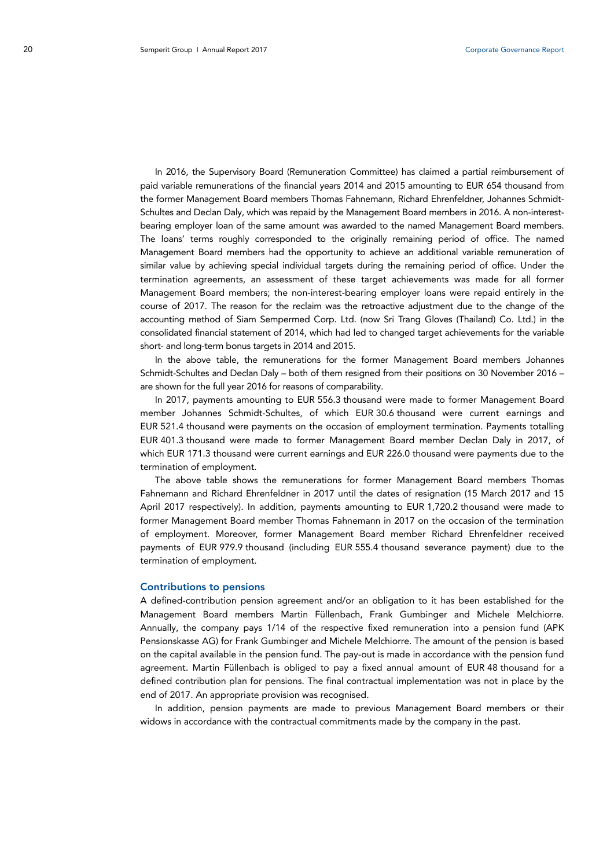In 2016, the Supervisory Board (Remuneration Committee) has claimed a partial reimbursement of paid variable remunerations of the financial years 2014 and 2015 amounting to EUR 654 thousand from the former Management Board members Thomas Fahnemann, Richard Ehrenfeldner, Johannes Schmidt-Schultes and Declan Daly, which was repaid by the Management Board members in 2016. A non-interestbearing employer loan of the same amount was awarded to the named Management Board members. The loans' terms roughly corresponded to the originally remaining period of office. The named Management Board members had the opportunity to achieve an additional variable remuneration of similar value by achieving special individual targets during the remaining period of office. Under the termination agreements, an assessment of these target achievements was made for all former Management Board members; the non-interest-bearing employer loans were repaid entirely in the course of 2017. The reason for the reclaim was the retroactive adjustment due to the change of the accounting method of Siam Sempermed Corp. Ltd. (now Sri Trang Gloves (Thailand) Co. Ltd.) in the consolidated financial statement of 2014, which had led to changed target achievements for the variable short- and long-term bonus targets in 2014 and 2015.

In the above table, the remunerations for the former Management Board members Johannes Schmidt-Schultes and Declan Daly – both of them resigned from their positions on 30 November 2016 – are shown for the full year 2016 for reasons of comparability.

In 2017, payments amounting to EUR 556.3 thousand were made to former Management Board member Johannes Schmidt-Schultes, of which EUR 30.6 thousand were current earnings and EUR 521.4 thousand were payments on the occasion of employment termination. Payments totalling EUR 401.3 thousand were made to former Management Board member Declan Daly in 2017, of which EUR 171.3 thousand were current earnings and EUR 226.0 thousand were payments due to the termination of employment.

The above table shows the remunerations for former Management Board members Thomas Fahnemann and Richard Ehrenfeldner in 2017 until the dates of resignation (15 March 2017 and 15 April 2017 respectively). In addition, payments amounting to EUR 1,720.2 thousand were made to former Management Board member Thomas Fahnemann in 2017 on the occasion of the termination of employment. Moreover, former Management Board member Richard Ehrenfeldner received payments of EUR 979.9 thousand (including EUR 555.4 thousand severance payment) due to the termination of employment.

#### Contributions to pensions

A defined-contribution pension agreement and/or an obligation to it has been established for the Management Board members Martin Füllenbach, Frank Gumbinger and Michele Melchiorre. Annually, the company pays 1/14 of the respective fixed remuneration into a pension fund (APK Pensionskasse AG) for Frank Gumbinger and Michele Melchiorre. The amount of the pension is based on the capital available in the pension fund. The pay-out is made in accordance with the pension fund agreement. Martin Füllenbach is obliged to pay a fixed annual amount of EUR 48 thousand for a defined contribution plan for pensions. The final contractual implementation was not in place by the end of 2017. An appropriate provision was recognised.

In addition, pension payments are made to previous Management Board members or their widows in accordance with the contractual commitments made by the company in the past.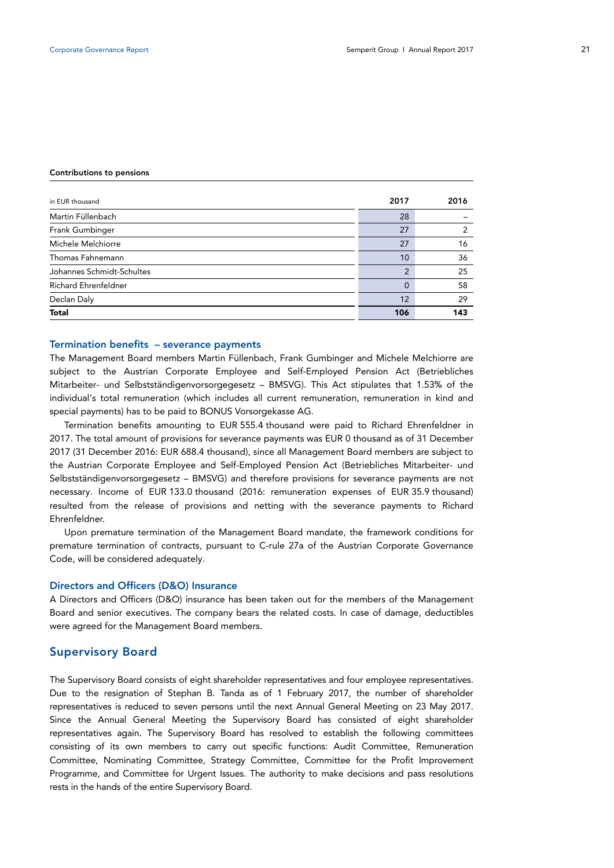#### Contributions to pensions

| in EUR thousand             | 2017     | 2016 |
|-----------------------------|----------|------|
| Martin Füllenbach           | 28       |      |
| Frank Gumbinger             | 27       | 2    |
| Michele Melchiorre          | 27       | 16   |
| Thomas Fahnemann            | 10       | 36   |
| Johannes Schmidt-Schultes   | າ        | 25   |
| <b>Richard Ehrenfeldner</b> | $\Omega$ | 58   |
| Declan Daly                 | 12       | 29   |
| <b>Total</b>                | 106      | 143  |

### Termination benefits – severance payments

The Management Board members Martin Füllenbach, Frank Gumbinger and Michele Melchiorre are subject to the Austrian Corporate Employee and Self-Employed Pension Act (Betriebliches Mitarbeiter- und Selbstständigenvorsorgegesetz – BMSVG). This Act stipulates that 1.53% of the individual's total remuneration (which includes all current remuneration, remuneration in kind and special payments) has to be paid to BONUS Vorsorgekasse AG.

Termination benefits amounting to EUR 555.4 thousand were paid to Richard Ehrenfeldner in 2017. The total amount of provisions for severance payments was EUR 0 thousand as of 31 December 2017 (31 December 2016: EUR 688.4 thousand), since all Management Board members are subject to the Austrian Corporate Employee and Self-Employed Pension Act (Betriebliches Mitarbeiter- und Selbstständigenvorsorgegesetz – BMSVG) and therefore provisions for severance payments are not necessary. Income of EUR 133.0 thousand (2016: remuneration expenses of EUR 35.9 thousand) resulted from the release of provisions and netting with the severance payments to Richard Ehrenfeldner.

Upon premature termination of the Management Board mandate, the framework conditions for premature termination of contracts, pursuant to C-rule 27a of the Austrian Corporate Governance Code, will be considered adequately.

#### Directors and Officers (D&O) Insurance

A Directors and Officers (D&O) insurance has been taken out for the members of the Management Board and senior executives. The company bears the related costs. In case of damage, deductibles were agreed for the Management Board members.

### Supervisory Board

The Supervisory Board consists of eight shareholder representatives and four employee representatives. Due to the resignation of Stephan B. Tanda as of 1 February 2017, the number of shareholder representatives is reduced to seven persons until the next Annual General Meeting on 23 May 2017. Since the Annual General Meeting the Supervisory Board has consisted of eight shareholder representatives again. The Supervisory Board has resolved to establish the following committees consisting of its own members to carry out specific functions: Audit Committee, Remuneration Committee, Nominating Committee, Strategy Committee, Committee for the Profit Improvement Programme, and Committee for Urgent Issues. The authority to make decisions and pass resolutions rests in the hands of the entire Supervisory Board.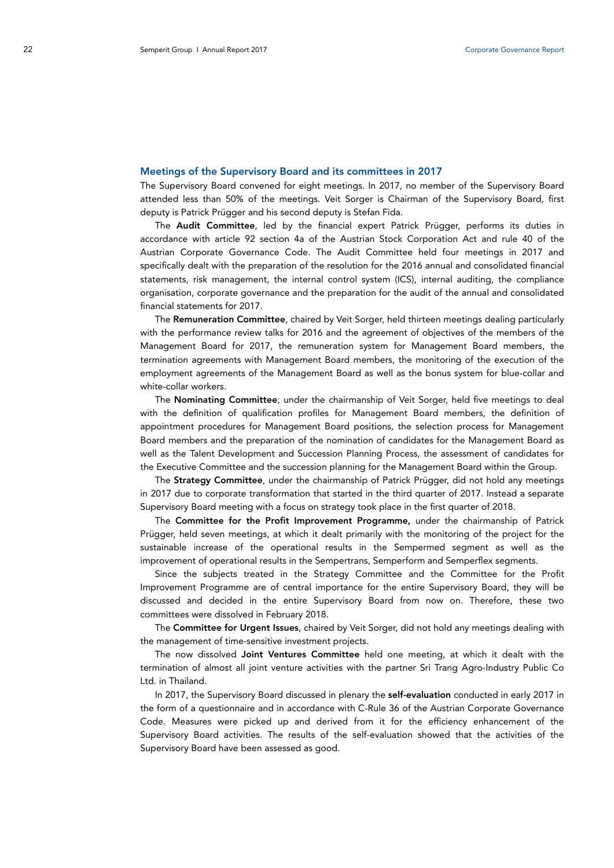#### Meetings of the Supervisory Board and its committees in 2017

The Supervisory Board convened for eight meetings. In 2017, no member of the Supervisory Board attended less than 50% of the meetings. Veit Sorger is Chairman of the Supervisory Board, first deputy is Patrick Prügger and his second deputy is Stefan Fida.

The Audit Committee, led by the financial expert Patrick Prügger, performs its duties in accordance with article 92 section 4a of the Austrian Stock Corporation Act and rule 40 of the Austrian Corporate Governance Code. The Audit Committee held four meetings in 2017 and specifically dealt with the preparation of the resolution for the 2016 annual and consolidated financial statements, risk management, the internal control system (ICS), internal auditing, the compliance organisation, corporate governance and the preparation for the audit of the annual and consolidated financial statements for 2017.

The Remuneration Committee, chaired by Veit Sorger, held thirteen meetings dealing particularly with the performance review talks for 2016 and the agreement of objectives of the members of the Management Board for 2017, the remuneration system for Management Board members, the termination agreements with Management Board members, the monitoring of the execution of the employment agreements of the Management Board as well as the bonus system for blue-collar and white-collar workers.

The Nominating Committee, under the chairmanship of Veit Sorger, held five meetings to deal with the definition of qualification profiles for Management Board members, the definition of appointment procedures for Management Board positions, the selection process for Management Board members and the preparation of the nomination of candidates for the Management Board as well as the Talent Development and Succession Planning Process, the assessment of candidates for the Executive Committee and the succession planning for the Management Board within the Group.

The Strategy Committee, under the chairmanship of Patrick Prügger, did not hold any meetings in 2017 due to corporate transformation that started in the third quarter of 2017. Instead a separate Supervisory Board meeting with a focus on strategy took place in the first quarter of 2018.

The Committee for the Profit Improvement Programme, under the chairmanship of Patrick Prügger, held seven meetings, at which it dealt primarily with the monitoring of the project for the sustainable increase of the operational results in the Sempermed segment as well as the improvement of operational results in the Sempertrans, Semperform and Semperflex segments.

Since the subjects treated in the Strategy Committee and the Committee for the Profit Improvement Programme are of central importance for the entire Supervisory Board, they will be discussed and decided in the entire Supervisory Board from now on. Therefore, these two committees were dissolved in February 2018.

The Committee for Urgent Issues, chaired by Veit Sorger, did not hold any meetings dealing with the management of time-sensitive investment projects.

The now dissolved Joint Ventures Committee held one meeting, at which it dealt with the termination of almost all joint venture activities with the partner Sri Trang Agro-Industry Public Co Ltd. in Thailand.

In 2017, the Supervisory Board discussed in plenary the self-evaluation conducted in early 2017 in the form of a questionnaire and in accordance with C-Rule 36 of the Austrian Corporate Governance Code. Measures were picked up and derived from it for the efficiency enhancement of the Supervisory Board activities. The results of the self-evaluation showed that the activities of the Supervisory Board have been assessed as good.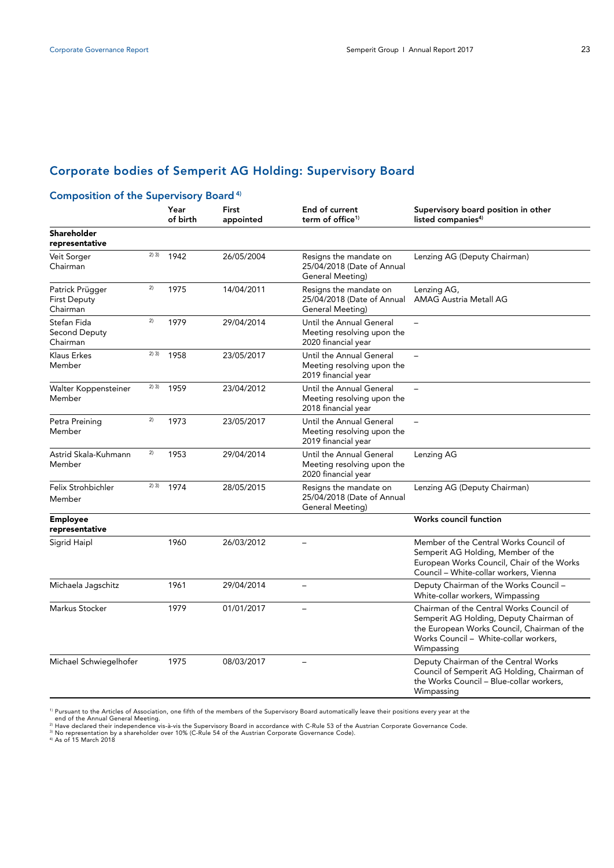# Corporate bodies of Semperit AG Holding: Supervisory Board

### Composition of the Supervisory Board 4)

|                                                    |       | Year<br>of birth | First<br>appointed | End of current<br>term of office <sup>1)</sup>                                | Supervisory board position in other<br>listed companies <sup>4)</sup>                                                                                                                     |
|----------------------------------------------------|-------|------------------|--------------------|-------------------------------------------------------------------------------|-------------------------------------------------------------------------------------------------------------------------------------------------------------------------------------------|
| <b>Shareholder</b><br>representative               |       |                  |                    |                                                                               |                                                                                                                                                                                           |
| Veit Sorger<br>Chairman                            | 2) 3) | 1942             | 26/05/2004         | Resigns the mandate on<br>25/04/2018 (Date of Annual<br>General Meeting)      | Lenzing AG (Deputy Chairman)                                                                                                                                                              |
| Patrick Prügger<br><b>First Deputy</b><br>Chairman | 2)    | 1975             | 14/04/2011         | Resigns the mandate on<br>25/04/2018 (Date of Annual<br>General Meeting)      | Lenzing AG,<br><b>AMAG Austria Metall AG</b>                                                                                                                                              |
| Stefan Fida<br>Second Deputy<br>Chairman           | 2)    | 1979             | 29/04/2014         | Until the Annual General<br>Meeting resolving upon the<br>2020 financial year |                                                                                                                                                                                           |
| Klaus Erkes<br>Member                              | 2) 3) | 1958             | 23/05/2017         | Until the Annual General<br>Meeting resolving upon the<br>2019 financial year |                                                                                                                                                                                           |
| Walter Koppensteiner<br>Member                     | 2) 3) | 1959             | 23/04/2012         | Until the Annual General<br>Meeting resolving upon the<br>2018 financial year | $\equiv$                                                                                                                                                                                  |
| Petra Preining<br>Member                           | 2)    | 1973             | 23/05/2017         | Until the Annual General<br>Meeting resolving upon the<br>2019 financial year |                                                                                                                                                                                           |
| Astrid Skala-Kuhmann<br>Member                     | 2)    | 1953             | 29/04/2014         | Until the Annual General<br>Meeting resolving upon the<br>2020 financial year | Lenzing AG                                                                                                                                                                                |
| Felix Strohbichler<br>Member                       | 2) 3) | 1974             | 28/05/2015         | Resigns the mandate on<br>25/04/2018 (Date of Annual<br>General Meeting)      | Lenzing AG (Deputy Chairman)                                                                                                                                                              |
| <b>Employee</b><br>representative                  |       |                  |                    |                                                                               | Works council function                                                                                                                                                                    |
| Sigrid Haipl                                       |       | 1960             | 26/03/2012         |                                                                               | Member of the Central Works Council of<br>Semperit AG Holding, Member of the<br>European Works Council, Chair of the Works<br>Council - White-collar workers, Vienna                      |
| Michaela Jagschitz                                 |       | 1961             | 29/04/2014         | $\overline{\phantom{0}}$                                                      | Deputy Chairman of the Works Council -<br>White-collar workers, Wimpassing                                                                                                                |
| Markus Stocker                                     |       | 1979             | 01/01/2017         | $\overline{a}$                                                                | Chairman of the Central Works Council of<br>Semperit AG Holding, Deputy Chairman of<br>the European Works Council, Chairman of the<br>Works Council - White-collar workers,<br>Wimpassing |
| Michael Schwiegelhofer                             |       | 1975             | 08/03/2017         |                                                                               | Deputy Chairman of the Central Works<br>Council of Semperit AG Holding, Chairman of<br>the Works Council - Blue-collar workers,<br>Wimpassing                                             |

<sup>1)</sup> Pursuant to the Articles of Association, one fifth of the members of the Supervisory Board automatically leave their positions every year at the<br><sup>21</sup> Have declared their independence vis-à-vis the Supervisory Board in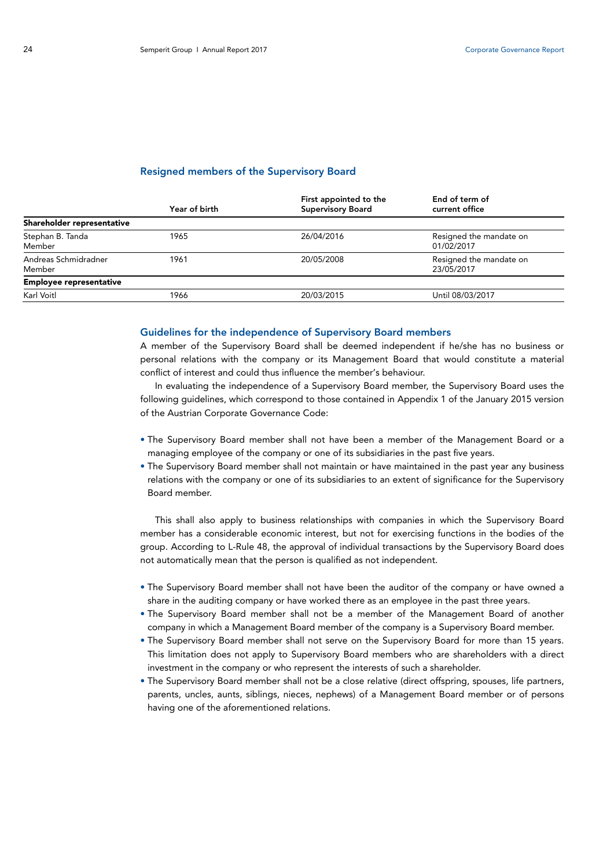### Resigned members of the Supervisory Board

|                                | Year of birth | First appointed to the<br><b>Supervisory Board</b> | End of term of<br>current office      |
|--------------------------------|---------------|----------------------------------------------------|---------------------------------------|
| Shareholder representative     |               |                                                    |                                       |
| Stephan B. Tanda<br>Member     | 1965          | 26/04/2016                                         | Resigned the mandate on<br>01/02/2017 |
| Andreas Schmidradner<br>Member | 1961          | 20/05/2008                                         | Resigned the mandate on<br>23/05/2017 |
| <b>Employee representative</b> |               |                                                    |                                       |
| Karl Voitl                     | 1966          | 20/03/2015                                         | Until 08/03/2017                      |

### Guidelines for the independence of Supervisory Board members

A member of the Supervisory Board shall be deemed independent if he/she has no business or personal relations with the company or its Management Board that would constitute a material conflict of interest and could thus influence the member's behaviour.

In evaluating the independence of a Supervisory Board member, the Supervisory Board uses the following guidelines, which correspond to those contained in Appendix 1 of the January 2015 version of the Austrian Corporate Governance Code:

- The Supervisory Board member shall not have been a member of the Management Board or a managing employee of the company or one of its subsidiaries in the past five years.
- The Supervisory Board member shall not maintain or have maintained in the past year any business relations with the company or one of its subsidiaries to an extent of significance for the Supervisory Board member.

This shall also apply to business relationships with companies in which the Supervisory Board member has a considerable economic interest, but not for exercising functions in the bodies of the group. According to L-Rule 48, the approval of individual transactions by the Supervisory Board does not automatically mean that the person is qualified as not independent.

- The Supervisory Board member shall not have been the auditor of the company or have owned a share in the auditing company or have worked there as an employee in the past three years.
- The Supervisory Board member shall not be a member of the Management Board of another company in which a Management Board member of the company is a Supervisory Board member.
- The Supervisory Board member shall not serve on the Supervisory Board for more than 15 years. This limitation does not apply to Supervisory Board members who are shareholders with a direct investment in the company or who represent the interests of such a shareholder.
- The Supervisory Board member shall not be a close relative (direct offspring, spouses, life partners, parents, uncles, aunts, siblings, nieces, nephews) of a Management Board member or of persons having one of the aforementioned relations.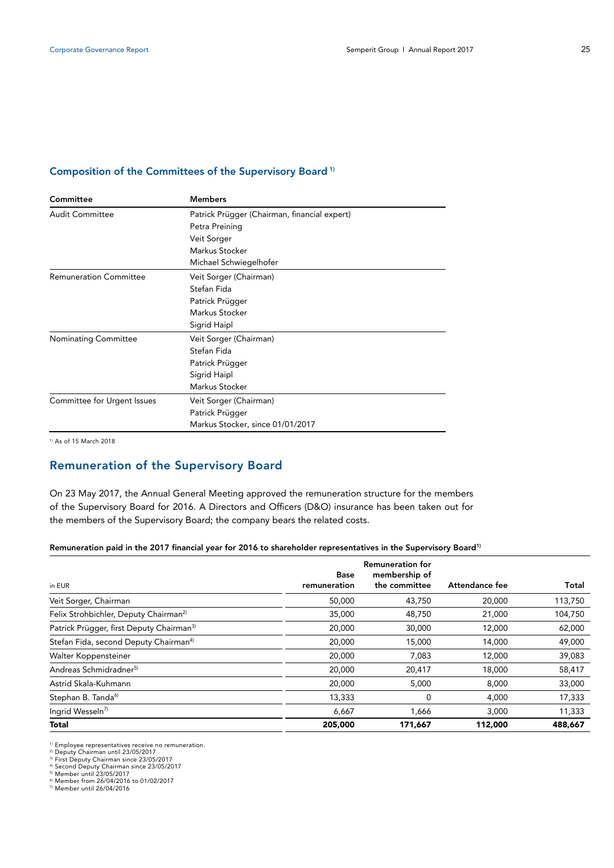### Composition of the Committees of the Supervisory Board 1)

| Committee                     | <b>Members</b>                               |  |  |  |
|-------------------------------|----------------------------------------------|--|--|--|
| Audit Committee               | Patrick Prügger (Chairman, financial expert) |  |  |  |
|                               | Petra Preining                               |  |  |  |
|                               | Veit Sorger                                  |  |  |  |
|                               | Markus Stocker                               |  |  |  |
|                               | Michael Schwiegelhofer                       |  |  |  |
| <b>Remuneration Committee</b> | Veit Sorger (Chairman)                       |  |  |  |
|                               | Stefan Fida                                  |  |  |  |
|                               | Patrick Prügger                              |  |  |  |
|                               | Markus Stocker                               |  |  |  |
|                               | Sigrid Haipl                                 |  |  |  |
| Nominating Committee          | Veit Sorger (Chairman)                       |  |  |  |
|                               | Stefan Fida                                  |  |  |  |
|                               | Patrick Prügger                              |  |  |  |
|                               | Sigrid Haipl                                 |  |  |  |
|                               | Markus Stocker                               |  |  |  |
| Committee for Urgent Issues   | Veit Sorger (Chairman)                       |  |  |  |
|                               | Patrick Prügger                              |  |  |  |
|                               | Markus Stocker, since 01/01/2017             |  |  |  |
|                               |                                              |  |  |  |

1) As of 15 March 2018

# Remuneration of the Supervisory Board

On 23 May 2017, the Annual General Meeting approved the remuneration structure for the members of the Supervisory Board for 2016. A Directors and Officers (D&O) insurance has been taken out for the members of the Supervisory Board; the company bears the related costs.

### Remuneration paid in the 2017 financial year for 2016 to shareholder representatives in the Supervisory Board<sup>1)</sup>

| in EUR                                               | <b>Base</b><br>remuneration | <b>Remuneration for</b><br>membership of<br>the committee | Attendance fee | Total   |
|------------------------------------------------------|-----------------------------|-----------------------------------------------------------|----------------|---------|
| Veit Sorger, Chairman                                | 50,000                      | 43,750                                                    | 20,000         | 113,750 |
| Felix Strohbichler, Deputy Chairman <sup>2)</sup>    | 35,000                      | 48,750                                                    | 21,000         | 104,750 |
| Patrick Prügger, first Deputy Chairman <sup>3)</sup> | 20,000                      | 30,000                                                    | 12,000         | 62,000  |
| Stefan Fida, second Deputy Chairman <sup>4)</sup>    | 20,000                      | 15,000                                                    | 14,000         | 49,000  |
| Walter Koppensteiner                                 | 20,000                      | 7,083                                                     | 12,000         | 39,083  |
| Andreas Schmidradner <sup>5)</sup>                   | 20,000                      | 20,417                                                    | 18,000         | 58,417  |
| Astrid Skala-Kuhmann                                 | 20,000                      | 5,000                                                     | 8,000          | 33,000  |
| Stephan B. Tanda <sup>6)</sup>                       | 13,333                      | $\mathbf 0$                                               | 4,000          | 17,333  |
| Ingrid Wesseln <sup>7)</sup>                         | 6,667                       | 1,666                                                     | 3,000          | 11,333  |
| <b>Total</b>                                         | 205,000                     | 171,667                                                   | 112,000        | 488,667 |

<sup>1)</sup> Employee representatives receive no remuneration.<br><sup>2)</sup> Deputy Chairman until 23/05/2017<br><sup>3)</sup> First Deputy Chairman since 23/05/2017<br><sup>4)</sup> Second Deputy Chairman since 23/05/2017<br><sup>5)</sup> Member until 23/05/2016<br><sup>6)</sup> Membe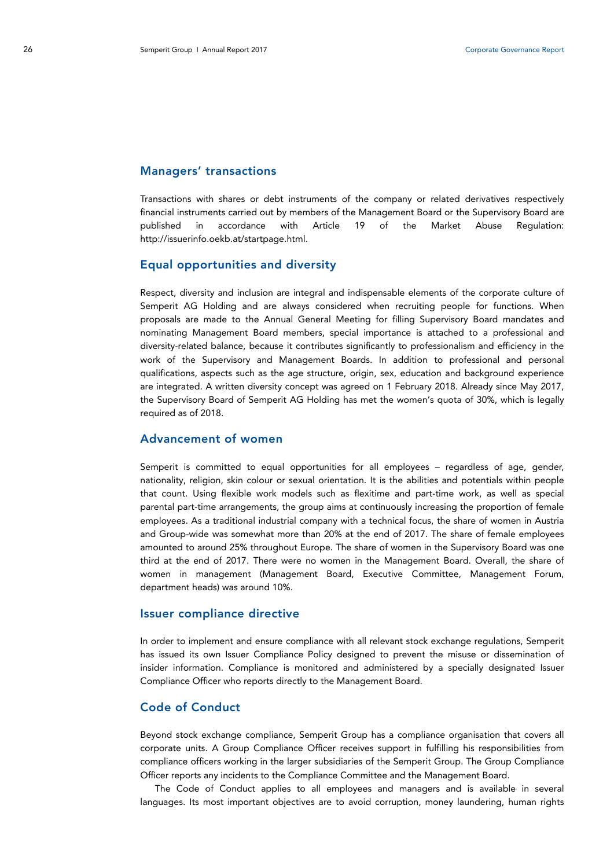### Managers' transactions

Transactions with shares or debt instruments of the company or related derivatives respectively financial instruments carried out by members of the Management Board or the Supervisory Board are published in accordance with Article 19 of the Market Abuse Regulation: http://issuerinfo.oekb.at/startpage.html.

### Equal opportunities and diversity

Respect, diversity and inclusion are integral and indispensable elements of the corporate culture of Semperit AG Holding and are always considered when recruiting people for functions. When proposals are made to the Annual General Meeting for filling Supervisory Board mandates and nominating Management Board members, special importance is attached to a professional and diversity-related balance, because it contributes significantly to professionalism and efficiency in the work of the Supervisory and Management Boards. In addition to professional and personal qualifications, aspects such as the age structure, origin, sex, education and background experience are integrated. A written diversity concept was agreed on 1 February 2018. Already since May 2017, the Supervisory Board of Semperit AG Holding has met the women's quota of 30%, which is legally required as of 2018.

# Advancement of women

Semperit is committed to equal opportunities for all employees – regardless of age, gender, nationality, religion, skin colour or sexual orientation. It is the abilities and potentials within people that count. Using flexible work models such as flexitime and part-time work, as well as special parental part-time arrangements, the group aims at continuously increasing the proportion of female employees. As a traditional industrial company with a technical focus, the share of women in Austria and Group-wide was somewhat more than 20% at the end of 2017. The share of female employees amounted to around 25% throughout Europe. The share of women in the Supervisory Board was one third at the end of 2017. There were no women in the Management Board. Overall, the share of women in management (Management Board, Executive Committee, Management Forum, department heads) was around 10%.

### Issuer compliance directive

In order to implement and ensure compliance with all relevant stock exchange regulations, Semperit has issued its own Issuer Compliance Policy designed to prevent the misuse or dissemination of insider information. Compliance is monitored and administered by a specially designated Issuer Compliance Officer who reports directly to the Management Board.

# Code of Conduct

Beyond stock exchange compliance, Semperit Group has a compliance organisation that covers all corporate units. A Group Compliance Officer receives support in fulfilling his responsibilities from compliance officers working in the larger subsidiaries of the Semperit Group. The Group Compliance Officer reports any incidents to the Compliance Committee and the Management Board.

The Code of Conduct applies to all employees and managers and is available in several languages. Its most important objectives are to avoid corruption, money laundering, human rights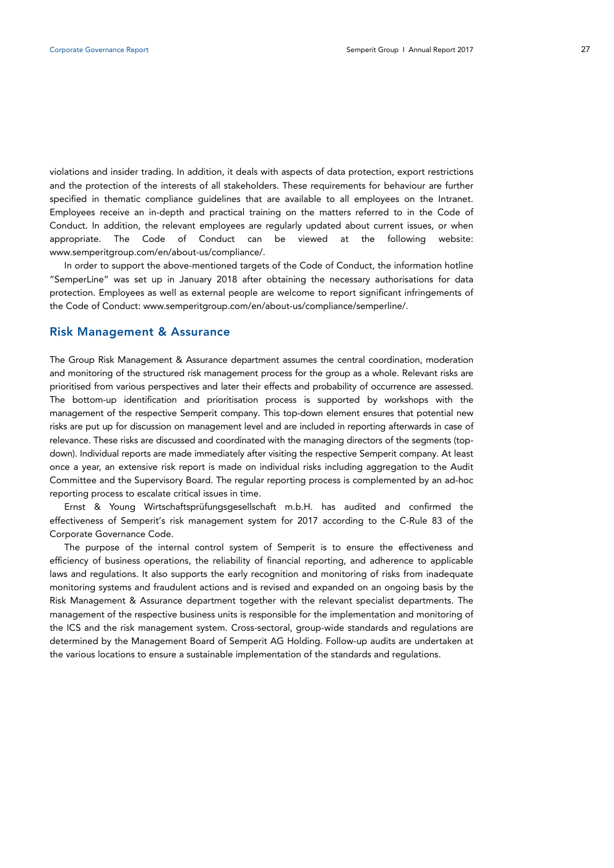violations and insider trading. In addition, it deals with aspects of data protection, export restrictions and the protection of the interests of all stakeholders. These requirements for behaviour are further specified in thematic compliance guidelines that are available to all employees on the Intranet. Employees receive an in-depth and practical training on the matters referred to in the Code of Conduct. In addition, the relevant employees are regularly updated about current issues, or when appropriate. The Code of Conduct can be viewed at the following website: www.semperitgroup.com/en/about-us/compliance/.

In order to support the above-mentioned targets of the Code of Conduct, the information hotline "SemperLine" was set up in January 2018 after obtaining the necessary authorisations for data protection. Employees as well as external people are welcome to report significant infringements of the Code of Conduct: www.semperitgroup.com/en/about-us/compliance/semperline/.

### Risk Management & Assurance

The Group Risk Management & Assurance department assumes the central coordination, moderation and monitoring of the structured risk management process for the group as a whole. Relevant risks are prioritised from various perspectives and later their effects and probability of occurrence are assessed. The bottom-up identification and prioritisation process is supported by workshops with the management of the respective Semperit company. This top-down element ensures that potential new risks are put up for discussion on management level and are included in reporting afterwards in case of relevance. These risks are discussed and coordinated with the managing directors of the segments (topdown). Individual reports are made immediately after visiting the respective Semperit company. At least once a year, an extensive risk report is made on individual risks including aggregation to the Audit Committee and the Supervisory Board. The regular reporting process is complemented by an ad-hoc reporting process to escalate critical issues in time.

Ernst & Young Wirtschaftsprüfungsgesellschaft m.b.H. has audited and confirmed the effectiveness of Semperit's risk management system for 2017 according to the C-Rule 83 of the Corporate Governance Code.

The purpose of the internal control system of Semperit is to ensure the effectiveness and efficiency of business operations, the reliability of financial reporting, and adherence to applicable laws and regulations. It also supports the early recognition and monitoring of risks from inadequate monitoring systems and fraudulent actions and is revised and expanded on an ongoing basis by the Risk Management & Assurance department together with the relevant specialist departments. The management of the respective business units is responsible for the implementation and monitoring of the ICS and the risk management system. Cross-sectoral, group-wide standards and regulations are determined by the Management Board of Semperit AG Holding. Follow-up audits are undertaken at the various locations to ensure a sustainable implementation of the standards and regulations.